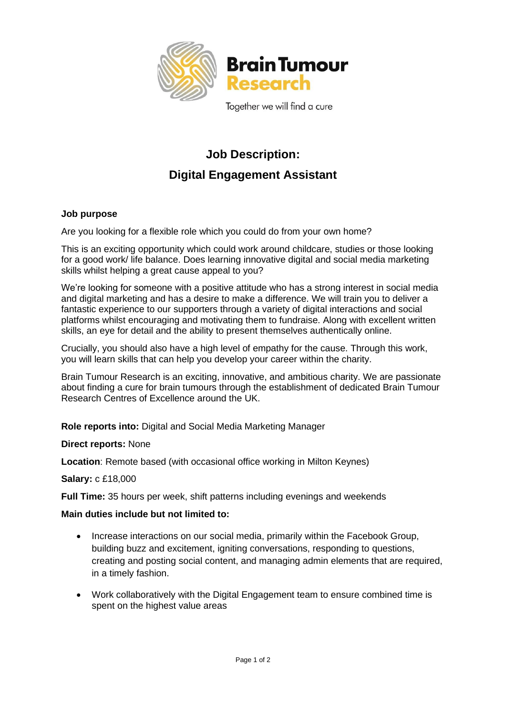

Together we will find a cure

## **Job Description: Digital Engagement Assistant**

## **Job purpose**

Are you looking for a flexible role which you could do from your own home?

This is an exciting opportunity which could work around childcare, studies or those looking for a good work/ life balance. Does learning innovative digital and social media marketing skills whilst helping a great cause appeal to you?

We're looking for someone with a positive attitude who has a strong interest in social media and digital marketing and has a desire to make a difference. We will train you to deliver a fantastic experience to our supporters through a variety of digital interactions and social platforms whilst encouraging and motivating them to fundraise. Along with excellent written skills, an eye for detail and the ability to present themselves authentically online.

Crucially, you should also have a high level of empathy for the cause. Through this work, you will learn skills that can help you develop your career within the charity.

Brain Tumour Research is an exciting, innovative, and ambitious charity. We are passionate about finding a cure for brain tumours through the establishment of dedicated Brain Tumour Research Centres of Excellence around the UK.

**Role reports into:** Digital and Social Media Marketing Manager

## **Direct reports:** None

**Location**: Remote based (with occasional office working in Milton Keynes)

**Salary:** c £18,000

**Full Time:** 35 hours per week, shift patterns including evenings and weekends

## **Main duties include but not limited to:**

- Increase interactions on our social media, primarily within the Facebook Group, building buzz and excitement, igniting conversations, responding to questions, creating and posting social content, and managing admin elements that are required, in a timely fashion.
- Work collaboratively with the Digital Engagement team to ensure combined time is spent on the highest value areas